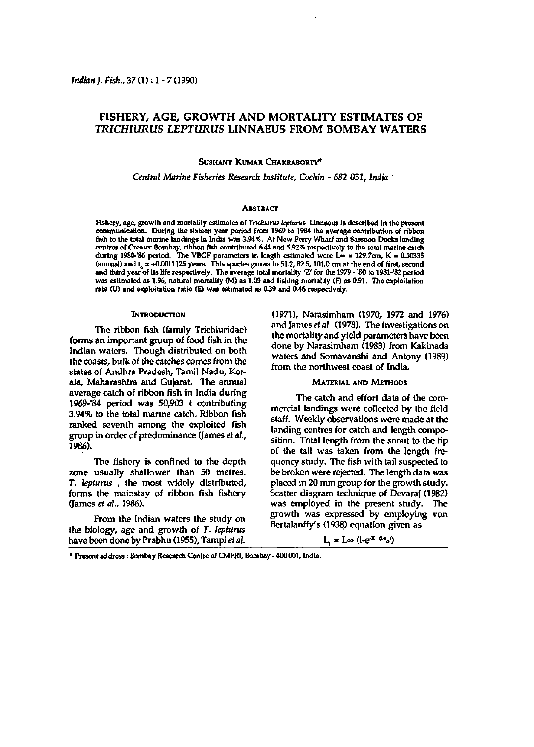# **FISHERY, AGE, GROWTH AND MORTALITY ESTIMATES OF**  *TRICHIURUS LEPTURUS* **LINNAEUS FROM BOMBAY WATERS**

# **SusHANT KUMAR CHAKRABORTY\***

## *Central Marine Fisheries Research Institute, Cochin - 682 031, India '*

### **ABSTRACT**

Fishery, age, growth and mortality estimates of *Trichiurus lepturus* Linnaeus is described in the present communication. During the sixteen year period from 1969 to 1984 the average contribution of ribbon fish to the total marine landings in India was 3.94%. At New Ferry Wharf and Sassoon Docks landing centres of Greater Bombay, ribbon fish contributed 6.44 and 5.92% respectively to the total marine catch during 1980-'86 period. The VBGF parameters in length estimated were  $L_{\infty} = 129.7$ cm, K = 0.50335 (annual) and  $t_a = +0.0011125$  years. This species grows to 51.2, 82.5, 101.0 cm at the end of first, second and third year of its life respectively. The average total mortality 'Z' for the 1979 - '80 to 1981-'82 period was estimated as 1.96, natural mortality (M) as 1.05 and fishing mortality (F) as 0.91. The exploitation rate (U) and exploitation ratio (E) was estimated as 039 and 0.46 respectively.

### **INTRODUCTION**

The ribbon fish (family Trichiuridae) forms an important group of food fish in the Indian waters. Though distributed on both the coasts, bulk of the catches comes from the states of Andhra Pradesh, Tamil Nadu, Kerala, Maharashtra and Gujarat. The annual average catch of ribbon fish in India during 1969-84 period was 50,903 t contributing 3.94% to the total marine catch. Ribbon fish ranked seventh among the exploited fish group in order of predominance (James *et al,*  1986).

The fishery is confined to the depth zone usually shallower than 50 metres, r. *lepturus ,* the most widely distributed, forms the mainstay of ribbon fish fishery (James *et al,* 1986).

From the Indian waters the study on the biology, age and growth of T. *lepturus*  have been done by Prabhu (1955), Tampi *et al.* 

(1971), Narasimham (1970, 1972 and 1976) and James *et al.* (1978). The investigations on the mortality and yield parameters have been done by Narasimham (1983) from Kakinada waters and Somavanshi and Antony (1989) from the northwest coast of India.

### MATERIAL **AND** METHODS

The catch and effort data of the commercial landings were collected by the field staff. Weekly observations were made at the landing centres for catch and length composition. Total length from the snout to the tip of the tail was taken from the length frequency study. The fish with tail suspected to be broken were rejected. The length data was placed in 20 mm group for the growth study. Scatter diagram technique of Devaraj (1982) was employed in the present study. The growth was expressed by employing von Bertalanffy's (1938) equation given as

## L,  $\mathbf{z}$  Loo (l-e<sup>-K (t+</sup>o)

\* Present address: Bombay Research Centre of CMFRI, Bombay - 400 001, India.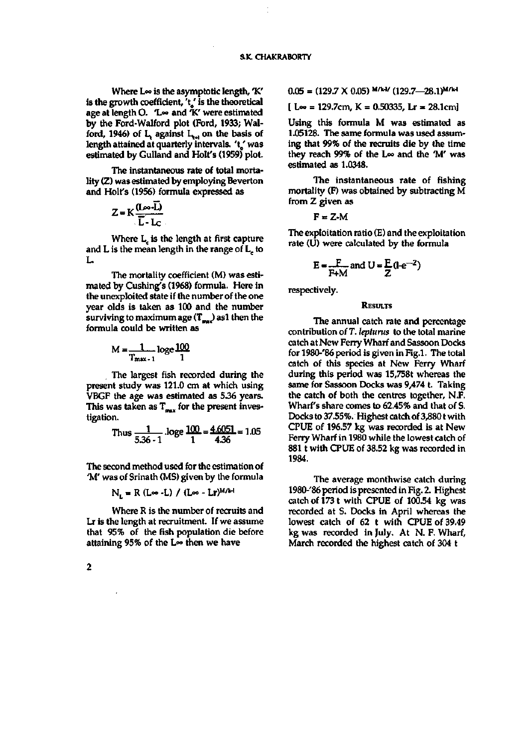Where L<sup>®</sup> is the asymptotic length, 'K' is the growth coefficient, 't' is the theoretical **age at length O. Too and** *"K.'* **were estimated by the Ford-Walford plot (Ford, 1933; Wal**ford, 1946) of  $L_i$  against  $L_{i+1}$  on the basis of **length attained at quarterly intervals.** *\'* **was estimated by Gulland and Holt's (1959) plot** 

**The instantaneous rate of total mortality (Z) was estinnated by employing Beverton and Holf s (1956) formula expressed as** 

$$
Z = K \frac{(L \cdot \cdot \cdot \overline{L})}{\overline{L} - L \cdot \cdot \cdot}
$$

**Where L^ is the length at first capture and L is the mean length in the range of L^ to**   $\mathbf{I}$ .

**The mortality coefficient (M) was estimated by Cushing's (1968) formula. Here in the unexploited state if the number of the one**  vear olds is taken as 100 and the number **surviving to maximum age (T^,) asl then the formula could be written as** 

$$
M = \frac{1}{T_{\text{max}-1}} \log_e \frac{100}{1}
$$

**The largest fish recorded during the present study was 121.0 cm at which using VBGF the age was estin\ated as 5.36 years.**  This was taken as T<sub>oux</sub> for the present inves**tigation.** 

Thus 
$$
\frac{1}{5.36-1}
$$
.  
loge  $\frac{100}{1} = \frac{4.6051}{4.36} = 1.05$ 

**The second method used for the estimation of 'M' was of Srinath (MS) given by the formula** 

$$
N_L = R (L \infty - L) / (L \infty - Lr)^{M/k}
$$

**Where R is the number of recruits and Lr is the length at recruitment. If we assume that 95% of the fish population die before attaining 95% of the Loo then we have** 

$$
0.05 = (129.7 \times 0.05)^{M/k-l} (129.7 - 28.1)^{M/k-l}
$$

**[ Loo = 129.7cm, K = 0.50335, Lr = 28.1cm]** 

**Using this formula M was estimated as 1.05128. The same formula was used assuming that 99% of the recruits die by the time they reach 99% of the Loo and the 'M' was estimated as 1.0348.** 

**The instantaneous rate of fishing mortality (F) was obtained by subtracting M from Z given as** 

 $F = Z-M$ 

**The exploitation ratio (E) and the exploitation rate (U) were calculated by the formula** 

$$
E = \frac{F}{F+M}
$$
 and  $U = \frac{F}{Z}(1-e^{-Z})$ 

**respectively.** 

# **RESULTS**

**The annual catch rate and percentage contribution of T.** *lepturus* **to the total marine catch at New Ferry Wharf and Bassoon Docks for 1980-'86 period is given in Fig.l. The total catch of this species at New Ferry Wharf during this period was 15,758t whereas the same for Sassoon Docks was 9,474 t. Taking the catch of both the centres together, N.F. Wharf's share comes to 62.45% and that of S.**  Docks to 37.55%. Highest catch of 3,880 t with **CPUE of 19657 kg was recorded is at New Ferry Wharf in 1980 while the lowest catch of 881 t with CPUE of 38.52 kg was recorded in 1984.** 

**The average monthwise catch during 1980-'86 period is presented in Fig. 2. Highest catch of 1731 with CPUE of 100.54 kg was recorded at S. Docks in April whereas the lowest catch of 62 t with CPUE of 39.49 kg was recorded in July. At N. F. Wharf, March recorded the highest catch of 304 t** 

 $\overline{\mathbf{c}}$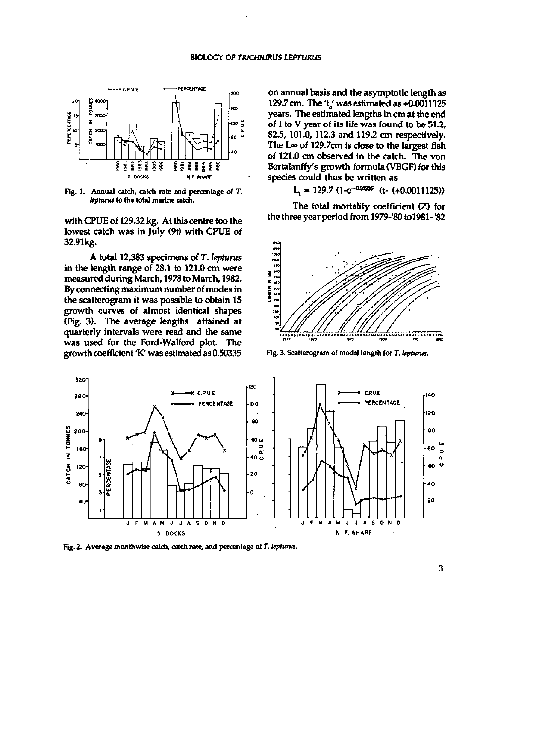

**Fig. 1. Annual catch, catch rate and percentage of T.**  *lepturus* **to the total marine catch.** 

with CPUE of 129.32 kg. At this centre too the lowest catch was in July (9t) with CPUE of 32.91kg.

A total 12,383 specimens of *T. lepturus*  in the length range of 28.1 to 121.0 cm were measured during March, 1978 to March, 1982. By connecting maximum number of modes in the scatterogram it was possible to obtain 15 growth curves of almost identical shapes (Fig. 3). The average lengths attained at quarterly intervals were read and the same was used for the Ford-Walford plot. The growth coefficient 'K' was estimated as 0.50335

on annual basis and the asymptotic length as 129.7 cm. The 't' was estimated as  $+0.0011125$ years. The estimated lengths in cm at the end of I to V year of its life was found to be 51.2, 82.5,101.0,112.3 and 119.2 cm respectively. The  $L\infty$  of 129.7cm is close to the largest fish of 121.0 cm observed in the catch. The von Bertalanffy's growth formula (VBGF) for this species could thus be written as

 $L<sub>r</sub> = 129.7 (1-e<sup>-0.50335</sup>$  (t- (+0.0011125))

The total mortality coefficient (Z) for the three year period from 1979-'80 to 1981-'82



**Fig. 3. Scatterogram of modal length for T.** *lepturus.* 



**Fig. 2. Average month wise catdi, catch rate, and percentage of T.** *lepturus.*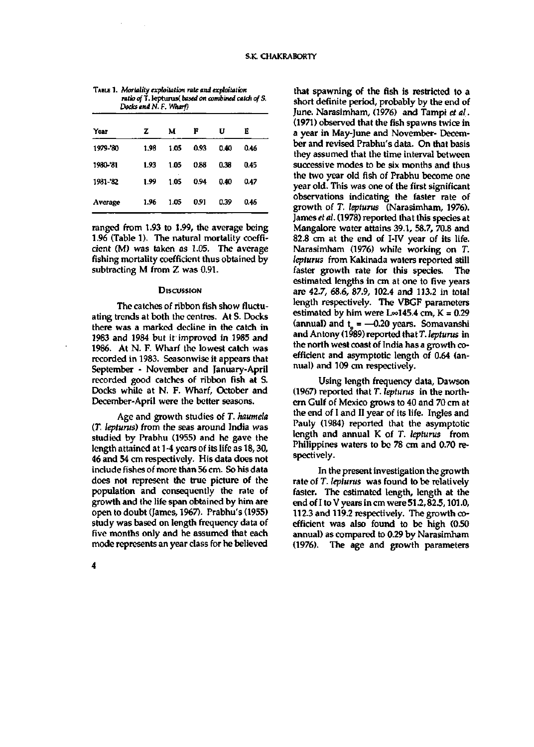| Docks and N. F. Wharf) |      |      |      |      |      |
|------------------------|------|------|------|------|------|
| Year                   | z    | м    | F    | U    | E    |
| 1979-'80               | 1.98 | 1.05 | 0.93 | 0.40 | 0.46 |
| 1980-'81               | 1.93 | 1.05 | 0.88 | 0.38 | 0.45 |
| 1981-'82               | 1.99 | 1.05 | 0.94 | 0.40 | 0.47 |
| Average                | 1.96 | 1.05 | 0.91 | 0.39 | 0.46 |

**TABLE 1.** *Mortality exphitation rate and exploitation ratio off.* **lepturus(** *based on combined catdi of S.* 

ranged from 1.93 to 1.99, the average being 1.96 (Table 1). The natural mortality coefficient (M) was taken as 1.05. The average fishing mortality coefficient thus obtained by subtracting M from Z was 0.91.

## **DISCUSSION**

The catches of ribbon fish show fluctuating trends at both the centres. At S. Docks there was a marked decline in the catch in 1983 and 1984 but if improved in 1985 and 1986. At N. F. Wharf the lowest catch was recorded in 1983. Seasonwise it appears that September - November and January-April recorded good catches of ribbon fish at S. Docks while at N. F. Wharf, October and December-April were the better seasons.

Age and growth studies of T. *haumela*  (T. *lepturus)* from the seas around India was studied by Prabhu (1955) and he gave the length attained at 1-4 years of its life as 18,30, 46 and 54 cm respectively. His data does not include fishes of more than 56 cm. So his data does not represent the true picture of the population and consequently the rate of growth and the life span obtained by him are open to doubt (James, 1967). Prabhu's (1955) study was based on length frequency data of five months only and he assumed that each mode represents an year class for he believed

that spawning of the fish is restricted to a short definite period, probably by the end of June. Narasimham, (1976) and Tampi *et al.*  (1971) observed that the fish spawns twice in a year in May-June and November- December and revised Prabhu's data. On that basis they assumed that the time interval between successive modes to be six months and thus the two year old fish of Prabhu become one year old. This was one of the first significant observations indicating the faster rate of growth of T. *lepturus* (Narasimham, 1976). James *et al.* (1978) reported that this species at Mangalore water attains 39.1, 58.7, 70.8 and 82.8 cm at the end of I-IV year of its life. Narasimham (1976) while working on T. *lepturus* from Kakinada waters reported still faster growth rate for this species. The estimated lengths in cm at one to five years are 42.7, 68.6, 87.9, 102.4 and 113.2 in total length respectively. The VBGF parameters estimated by him were  $L \approx 145.4$  cm,  $K = 0.29$ (annual) and  $t_0 = -0.20$  years. Somavanshi and Antony (1989) reported that T. *lepturus* in the north west coast of India has a growth coefficient and asymptotic length of 0.64 (annual) and 109 cm respectively.

Using length frequency data, Dawson (1967) reported that T. *lepturus* in the northem Gulf of Mexico grows to 40 and 70 cm at the end of I and II year of its life. Ingles and Pauly (1984) reported that the asymptotic length and annual K of T. *lepturus* from Philippines waters to be 78 cm and 0.70 respectively.

In the present investigation the growth rate of T. *lepturus* was found to be relatively faster. The estimated length, length at the end of I to V years in cm were 51.2,82.5,101.0, 112.3 and 119.2 respectively. The growth coefficient was also found to be high (0.50 annual) as compared to 0.29 by Narasimham (1976). The age and growth parameters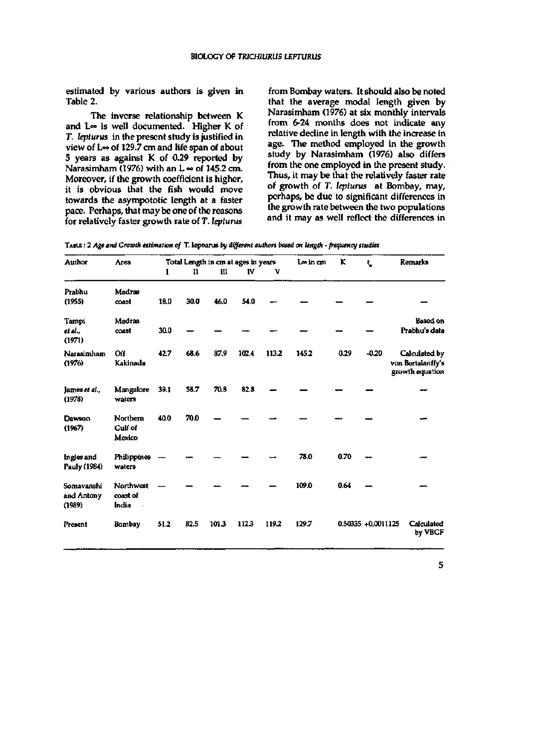estimated by various authors is given in Table 2.

The inverse relationship between K and L<sup>oo</sup> is well documented. Higher K of r. *lepturus* in the present study is justified in view of  $L \infty$  of 129.7 cm and life span of about 5 years as against K of 0.29 reported by Narasimham (1976) with an  $L \approx$  of 145.2 cm. Moreover, if the growth coefficient is higher, it is obvious that the fish would move towards the asympototic length at a faster pace. Perhaps, that may be one of the reasons for relatively faster growth rate of T. *lepturus* 

from Bombay waters. It should also be noted that the average modal length given by Narasimham (1976) at six monthly intervals from 6-24 months does not indicate any relative decline in length with the increase in age. The method employed in the growth study by Narasimham (1976) also differs from the one employed in the present study. Thus, it may be that the relatively faster rate of growth of T. *lepturus* at Bombay, may, perhaps, be due to significant differences in the growth rate between the two populations and it may as well reflect the differences in

| TABLE : 2 Age and Growth estimation of T. leptoros by different authors based on length - frequency studies |  |  |  |  |  |  |
|-------------------------------------------------------------------------------------------------------------|--|--|--|--|--|--|
|-------------------------------------------------------------------------------------------------------------|--|--|--|--|--|--|

| Author                             | Area                                 | Total Length in cm at ages in years |      |       |       | Lee in cm | ĸ     | t.   | <b>Remarks</b>     |                                                       |
|------------------------------------|--------------------------------------|-------------------------------------|------|-------|-------|-----------|-------|------|--------------------|-------------------------------------------------------|
|                                    |                                      | ı                                   | и    | Ш     | IV    | v         |       |      |                    |                                                       |
| Prabhu<br>(1955)                   | Madras<br>coast                      | 18.0                                | 30.0 | 46.0  | 54.0  |           |       |      |                    |                                                       |
| Tampi<br>et al.,<br>(1971)         | Madras<br>coast                      | 30.0                                |      |       |       |           |       |      |                    | Based on<br>Prabhu's data                             |
| Narasimham<br>(1976)               | Off<br>Kakinada                      | 42.7                                | 68.6 | 87.9  | 102.4 | 113.2     | 145.2 | 0.29 | $-0.20$            | Calculated by<br>von Bertalanffy's<br>growth equation |
| James et al.,<br>(1978)            | Mangalore<br>waters                  | 39.1                                | 58.7 | 70.8  | 82.8  |           |       |      |                    |                                                       |
| Dawson<br>(1967)                   | Northern<br><b>Culf</b> of<br>Mexico | 40.0                                | 70.0 |       |       |           |       |      |                    |                                                       |
| Ingles and<br>Pauly (1984)         | Philippines<br>waters                |                                     |      |       |       |           | 78.0  | 0.70 |                    |                                                       |
| Somavanshi<br>and Antony<br>(1989) | Northwest<br>coast of<br>India       |                                     |      |       |       |           | 109.0 | 0.64 |                    |                                                       |
| Present                            | Bombay                               | 51.2                                | 82.5 | 101.3 | 112.3 | 119.2     | 129.7 |      | 0.50335 +0.0011125 | Calculated<br>by VBGF                                 |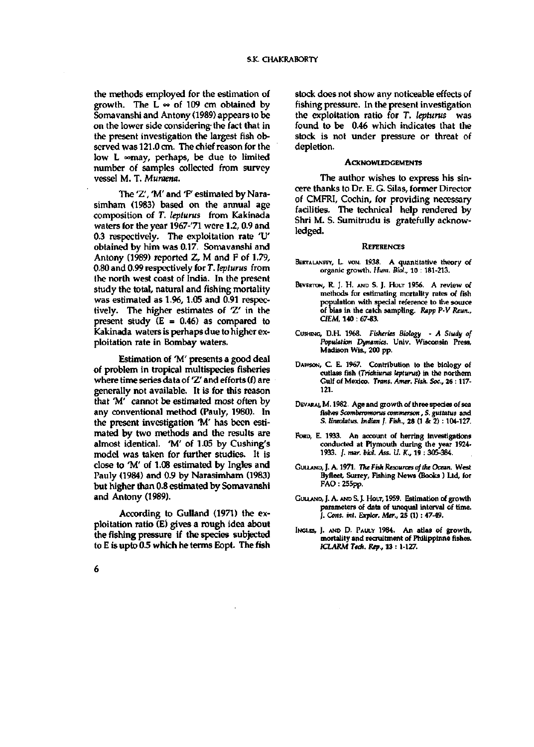the methods employed for the estimation of growth. The  $L \approx$  of 109 cm obtained by Somavanshi and Antony (1989) appears to be on the lower side considering-the fact that in the present investigation the largest fish observed was 121.0 cm. The chief reason for the low  $L \sim$ may, perhaps, be due to limited number of samples collected from survey vessel M. T. *Muraena.* 

The 'Z', 'M' and 'F' estimated by Narasimham (1983) based on the annual age composition of T. *lepturus* from Kakinada waters for the year 1967-'71 were 1.2, 0.9 and 0.3 respectively. The exploitation rate 'U' obtained by him was 0.17. Somavanshi and Antony (1989) reported Z, M and F of 1.79, 0.80 and 0.99 respectively for T. *lepturus* from the north west coast of India. In the present study the total, natural and fishing mortality was estimated as 1.96, 1.05 and 0.91 respectively. The higher estimates of 'Z' in the present study  $(E = 0.46)$  as compared to Kakinada waters is perhaps due to higher exploitation rate in Bombay waters.

Estimation of 'M' presents a good deal of problem in tropical multispecies fisheries where time series data of 'Z' and efforts (f) are generally not available. It is for this reason that 'M' cannot be estimated most often by any conventional method (Pauly, 1980). In the present investigation 'M' has been estimated by two methods and the results are almost identical. 'M' of 1.05 by Cushing's model was taken for further studies. It is close to 'M' of 1.08 estimated by Ingles and Pauly (1984) and 0.9 by Narasimham (1983) but higher than 0.8 estimated by Somavanshi and Antony (1989).

According to Gulland (1971) the exploitation ratio (E) gives a rough idea about the fishing pressure if the species subjected to E is upto 0.5 which he terms Eopt. The fish

stock does not show any noticeable effects of fishing pressure. In the present investigation the exploitation ratio for T. *lepturus* was found to be 0.46 which indicates that the stock is not under pressure or threat of depletion.

## **ACKNOWLEDGEMENTS**

The author wishes to express his sincere thanks to Dr. E. G. Silas, former Director of CMFRI, Cochin, for providing necessary facilities. The technical help rendered by Shri M. S. Sumitrudu is gratefully acknowledged.

#### **REFERENCES**

- BERTALANFFY, L. VON. 1938. A quantitative theory of **organic growth.** *Hum. Biol.,* **10 : 181-213.**
- **BEVERTON, R. J. H. AND S. J. HOLT 1956. A review of methods for estimating mortality rates of fish population with special reference to the source of bias in the catch sampling.** *Rapp P-V Reun., CIEM,* **140 : 67-83.**
- **CusHiNC, D.H. 1968.** *Fisheries Biology A Study of Population Dynamics.* **Univ. Wisconsin Press, Madison Wis., 200 pp.**
- **DAWSON, C. E. 1967. Contribution to the biology of cutlass fish** *(Trichiurus lepturus)* **in the northern Gulf of Mexico.** *Trans. Amer. Fish. Soc.,* **26 :117- 121.**
- **DEVARAI, M . 1982. Age and growth of three spedes of sea fishes** *Scomberomorus commerson, S. guttatus* **and S.** *lineoltttus. Indian J. Fish.,* **28 (1 & 2): 104-127.**
- **FORD, E. 1933. An account of herring investigations conducted at Plymouth during the year 1924- 1933. /.** *mar. biol. Ass. U. K.,* **19 : 305-384.**
- **GULLAND, J. A. 1971. 77K** *Fish Resources of the Ocean.* **West Byfleet, Surrey, Fishing News (Books ) Ltd, for FAO: 255pp.**
- **GULLAND, J. A. AND S. J. HOLT, 1959. Estimation of growth parameters of data of imequal interval of time. /.** *Cons. int. Explor. Mer.,* **25 (1): 47-49.**
- INGLES, J. AND D. PAULY 1984. An atlas of growth, **mortality and recruitment of Philippinne fishes.**  *ICLARM Tedi. Rep.,* **13 :1-127.**